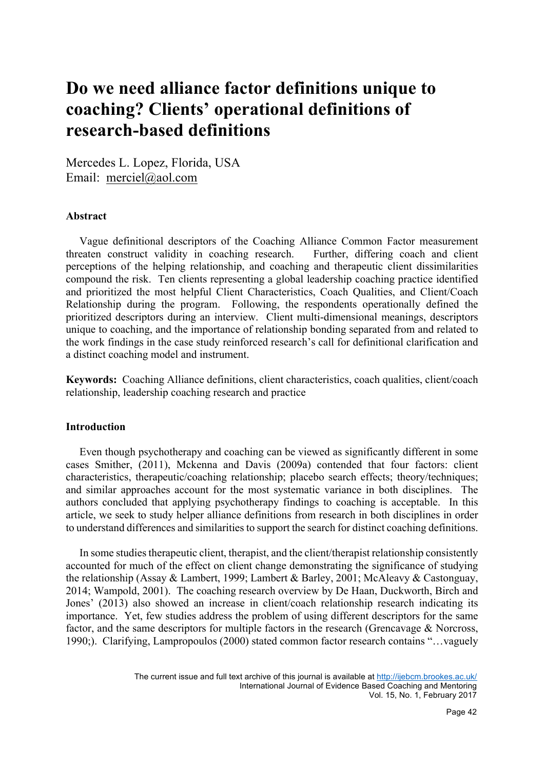# **Do we need alliance factor definitions unique to coaching? Clients' operational definitions of research-based definitions**

Mercedes L. Lopez, Florida, USA Email: merciel@aol.com

#### **Abstract**

Vague definitional descriptors of the Coaching Alliance Common Factor measurement threaten construct validity in coaching research. Further, differing coach and client perceptions of the helping relationship, and coaching and therapeutic client dissimilarities compound the risk. Ten clients representing a global leadership coaching practice identified and prioritized the most helpful Client Characteristics, Coach Qualities, and Client/Coach Relationship during the program. Following, the respondents operationally defined the prioritized descriptors during an interview. Client multi-dimensional meanings, descriptors unique to coaching, and the importance of relationship bonding separated from and related to the work findings in the case study reinforced research's call for definitional clarification and a distinct coaching model and instrument.

**Keywords:** Coaching Alliance definitions, client characteristics, coach qualities, client/coach relationship, leadership coaching research and practice

## **Introduction**

Even though psychotherapy and coaching can be viewed as significantly different in some cases Smither, (2011), Mckenna and Davis (2009a) contended that four factors: client characteristics, therapeutic/coaching relationship; placebo search effects; theory/techniques; and similar approaches account for the most systematic variance in both disciplines. The authors concluded that applying psychotherapy findings to coaching is acceptable. In this article, we seek to study helper alliance definitions from research in both disciplines in order to understand differences and similarities to support the search for distinct coaching definitions.

 In some studies therapeutic client, therapist, and the client/therapist relationship consistently accounted for much of the effect on client change demonstrating the significance of studying the relationship (Assay & Lambert, 1999; Lambert & Barley, 2001; McAleavy & Castonguay, 2014; Wampold, 2001). The coaching research overview by De Haan, Duckworth, Birch and Jones' (2013) also showed an increase in client/coach relationship research indicating its importance. Yet, few studies address the problem of using different descriptors for the same factor, and the same descriptors for multiple factors in the research (Grencavage & Norcross, 1990;). Clarifying, Lampropoulos (2000) stated common factor research contains "…vaguely

The current issue and full text archive of this journal is available at http://ijebcm.brookes.ac.uk/ International Journal of Evidence Based Coaching and Mentoring Vol. 15, No. 1, February 2017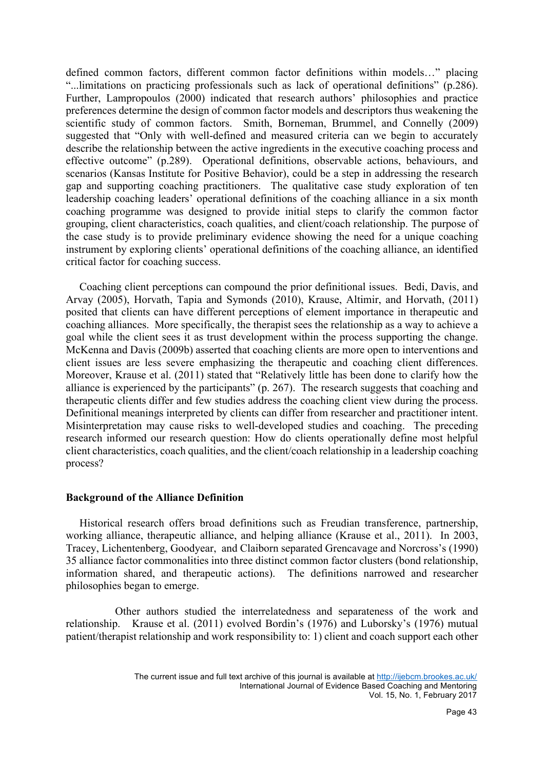defined common factors, different common factor definitions within models…" placing "...limitations on practicing professionals such as lack of operational definitions" (p.286). Further, Lampropoulos (2000) indicated that research authors' philosophies and practice preferences determine the design of common factor models and descriptors thus weakening the scientific study of common factors. Smith, Borneman, Brummel, and Connelly (2009) suggested that "Only with well-defined and measured criteria can we begin to accurately describe the relationship between the active ingredients in the executive coaching process and effective outcome" (p.289). Operational definitions, observable actions, behaviours, and scenarios (Kansas Institute for Positive Behavior), could be a step in addressing the research gap and supporting coaching practitioners. The qualitative case study exploration of ten leadership coaching leaders' operational definitions of the coaching alliance in a six month coaching programme was designed to provide initial steps to clarify the common factor grouping, client characteristics, coach qualities, and client/coach relationship. The purpose of the case study is to provide preliminary evidence showing the need for a unique coaching instrument by exploring clients' operational definitions of the coaching alliance, an identified critical factor for coaching success.

 Coaching client perceptions can compound the prior definitional issues. Bedi, Davis, and Arvay (2005), Horvath, Tapia and Symonds (2010), Krause, Altimir, and Horvath, (2011) posited that clients can have different perceptions of element importance in therapeutic and coaching alliances. More specifically, the therapist sees the relationship as a way to achieve a goal while the client sees it as trust development within the process supporting the change. McKenna and Davis (2009b) asserted that coaching clients are more open to interventions and client issues are less severe emphasizing the therapeutic and coaching client differences. Moreover, Krause et al. (2011) stated that "Relatively little has been done to clarify how the alliance is experienced by the participants" (p. 267). The research suggests that coaching and therapeutic clients differ and few studies address the coaching client view during the process. Definitional meanings interpreted by clients can differ from researcher and practitioner intent. Misinterpretation may cause risks to well-developed studies and coaching. The preceding research informed our research question: How do clients operationally define most helpful client characteristics, coach qualities, and the client/coach relationship in a leadership coaching process?

## **Background of the Alliance Definition**

 Historical research offers broad definitions such as Freudian transference, partnership, working alliance, therapeutic alliance, and helping alliance (Krause et al., 2011). In 2003, Tracey, Lichentenberg, Goodyear, and Claiborn separated Grencavage and Norcross's (1990) 35 alliance factor commonalities into three distinct common factor clusters (bond relationship, information shared, and therapeutic actions). The definitions narrowed and researcher philosophies began to emerge.

 Other authors studied the interrelatedness and separateness of the work and relationship. Krause et al. (2011) evolved Bordin's (1976) and Luborsky's (1976) mutual patient/therapist relationship and work responsibility to: 1) client and coach support each other

The current issue and full text archive of this journal is available at http://ijebcm.brookes.ac.uk/ International Journal of Evidence Based Coaching and Mentoring Vol. 15, No. 1, February 2017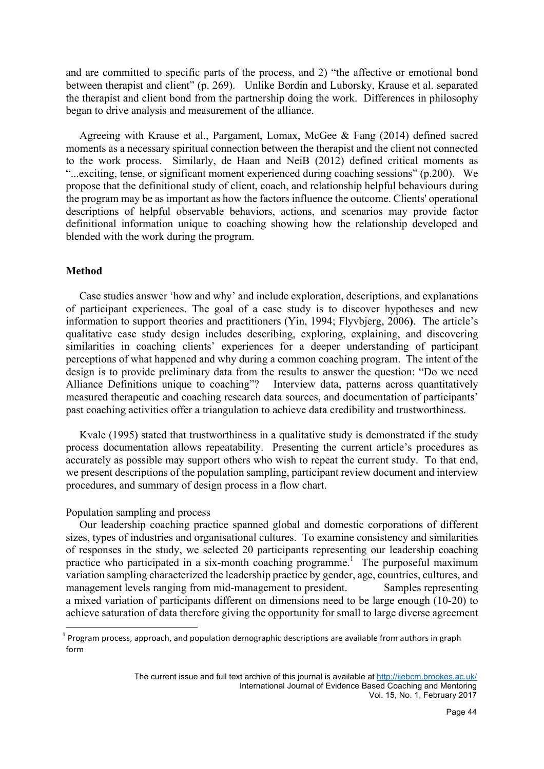and are committed to specific parts of the process, and 2) "the affective or emotional bond between therapist and client" (p. 269). Unlike Bordin and Luborsky, Krause et al. separated the therapist and client bond from the partnership doing the work. Differences in philosophy began to drive analysis and measurement of the alliance.

 Agreeing with Krause et al., Pargament, Lomax, McGee & Fang (2014) defined sacred moments as a necessary spiritual connection between the therapist and the client not connected to the work process. Similarly, de Haan and NeiB (2012) defined critical moments as "...exciting, tense, or significant moment experienced during coaching sessions" (p.200). We propose that the definitional study of client, coach, and relationship helpful behaviours during the program may be as important as how the factors influence the outcome. Clients' operational descriptions of helpful observable behaviors, actions, and scenarios may provide factor definitional information unique to coaching showing how the relationship developed and blended with the work during the program.

## **Method**

Case studies answer 'how and why' and include exploration, descriptions, and explanations of participant experiences. The goal of a case study is to discover hypotheses and new information to support theories and practitioners (Yin, 1994; Flyvbjerg, 2006**)**. The article's qualitative case study design includes describing, exploring, explaining, and discovering similarities in coaching clients' experiences for a deeper understanding of participant perceptions of what happened and why during a common coaching program. The intent of the design is to provide preliminary data from the results to answer the question: "Do we need Alliance Definitions unique to coaching"? Interview data, patterns across quantitatively measured therapeutic and coaching research data sources, and documentation of participants' past coaching activities offer a triangulation to achieve data credibility and trustworthiness.

 Kvale (1995) stated that trustworthiness in a qualitative study is demonstrated if the study process documentation allows repeatability. Presenting the current article's procedures as accurately as possible may support others who wish to repeat the current study. To that end, we present descriptions of the population sampling, participant review document and interview procedures, and summary of design process in a flow chart.

Population sampling and process

 Our leadership coaching practice spanned global and domestic corporations of different sizes, types of industries and organisational cultures. To examine consistency and similarities of responses in the study, we selected 20 participants representing our leadership coaching practice who participated in a six-month coaching programme.<sup>1</sup> The purposeful maximum variation sampling characterized the leadership practice by gender, age, countries, cultures, and management levels ranging from mid-management to president. Samples representing a mixed variation of participants different on dimensions need to be large enough (10-20) to achieve saturation of data therefore giving the opportunity for small to large diverse agreement

 $1$  Program process, approach, and population demographic descriptions are available from authors in graph form

The current issue and full text archive of this journal is available at http://ijebcm.brookes.ac.uk/ International Journal of Evidence Based Coaching and Mentoring Vol. 15, No. 1, February 2017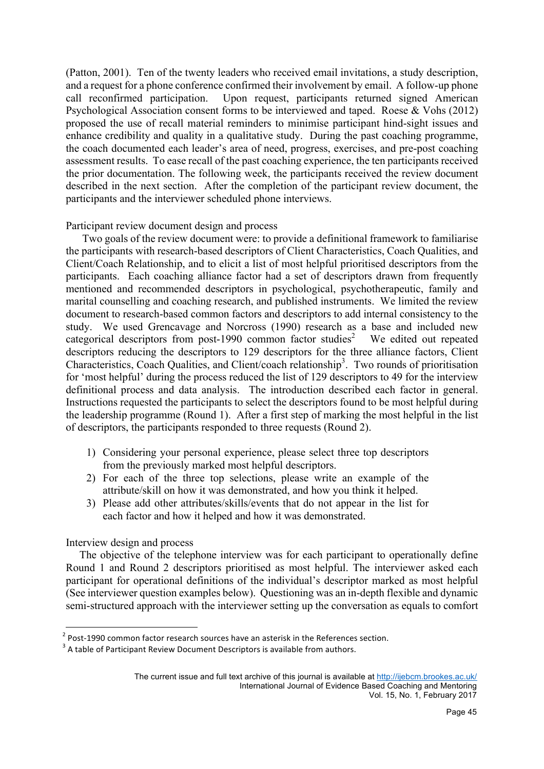(Patton, 2001). Ten of the twenty leaders who received email invitations, a study description, and a request for a phone conference confirmed their involvement by email. A follow-up phone call reconfirmed participation. Upon request, participants returned signed American Psychological Association consent forms to be interviewed and taped. Roese & Vohs (2012) proposed the use of recall material reminders to minimise participant hind-sight issues and enhance credibility and quality in a qualitative study. During the past coaching programme, the coach documented each leader's area of need, progress, exercises, and pre-post coaching assessment results. To ease recall of the past coaching experience, the ten participants received the prior documentation. The following week, the participants received the review document described in the next section. After the completion of the participant review document, the participants and the interviewer scheduled phone interviews.

Participant review document design and process

 Two goals of the review document were: to provide a definitional framework to familiarise the participants with research-based descriptors of Client Characteristics, Coach Qualities, and Client/Coach Relationship, and to elicit a list of most helpful prioritised descriptors from the participants. Each coaching alliance factor had a set of descriptors drawn from frequently mentioned and recommended descriptors in psychological, psychotherapeutic, family and marital counselling and coaching research, and published instruments. We limited the review document to research-based common factors and descriptors to add internal consistency to the study. We used Grencavage and Norcross (1990) research as a base and included new categorical descriptors from post-1990 common factor studies<sup>2</sup> We edited out repeated descriptors reducing the descriptors to 129 descriptors for the three alliance factors, Client Characteristics, Coach Qualities, and Client/coach relationship<sup>3</sup>. Two rounds of prioritisation for 'most helpful' during the process reduced the list of 129 descriptors to 49 for the interview definitional process and data analysis. The introduction described each factor in general. Instructions requested the participants to select the descriptors found to be most helpful during the leadership programme (Round 1). After a first step of marking the most helpful in the list of descriptors, the participants responded to three requests (Round 2).

- 1) Considering your personal experience, please select three top descriptors from the previously marked most helpful descriptors.
- 2) For each of the three top selections, please write an example of the attribute/skill on how it was demonstrated, and how you think it helped.
- 3) Please add other attributes/skills/events that do not appear in the list for each factor and how it helped and how it was demonstrated.

Interview design and process

 The objective of the telephone interview was for each participant to operationally define Round 1 and Round 2 descriptors prioritised as most helpful. The interviewer asked each participant for operational definitions of the individual's descriptor marked as most helpful (See interviewer question examples below). Questioning was an in-depth flexible and dynamic semi-structured approach with the interviewer setting up the conversation as equals to comfort

<sup>&</sup>lt;sup>2</sup> Post-1990 common factor research sources have an asterisk in the References section.<br><sup>3</sup> A table of Participant Review Document Descriptors is available from authors.

The current issue and full text archive of this journal is available at http://ijebcm.brookes.ac.uk/ International Journal of Evidence Based Coaching and Mentoring Vol. 15, No. 1, February 2017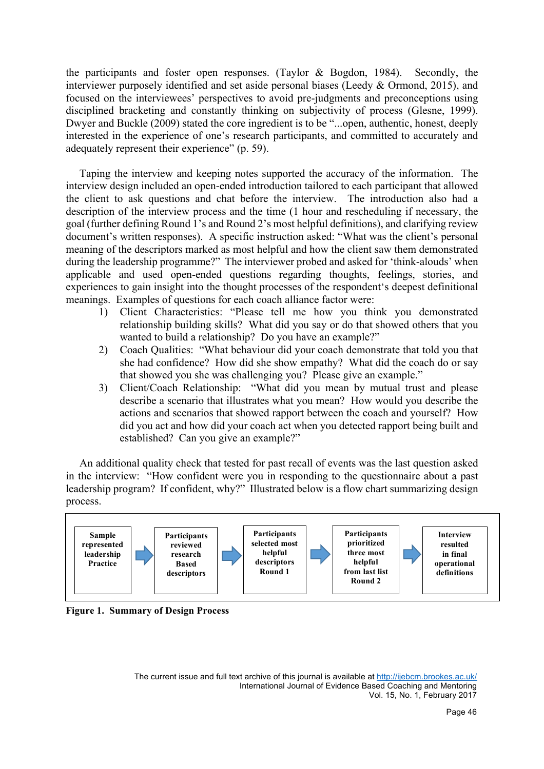the participants and foster open responses. (Taylor & Bogdon, 1984). Secondly, the interviewer purposely identified and set aside personal biases (Leedy & Ormond, 2015), and focused on the interviewees' perspectives to avoid pre-judgments and preconceptions using disciplined bracketing and constantly thinking on subjectivity of process (Glesne, 1999). Dwyer and Buckle (2009) stated the core ingredient is to be "...open, authentic, honest, deeply interested in the experience of one's research participants, and committed to accurately and adequately represent their experience" (p. 59).

 Taping the interview and keeping notes supported the accuracy of the information. The interview design included an open-ended introduction tailored to each participant that allowed the client to ask questions and chat before the interview. The introduction also had a description of the interview process and the time (1 hour and rescheduling if necessary, the goal (further defining Round 1's and Round 2's most helpful definitions), and clarifying review document's written responses). A specific instruction asked: "What was the client's personal meaning of the descriptors marked as most helpful and how the client saw them demonstrated during the leadership programme?" The interviewer probed and asked for 'think-alouds' when applicable and used open-ended questions regarding thoughts, feelings, stories, and experiences to gain insight into the thought processes of the respondent's deepest definitional meanings. Examples of questions for each coach alliance factor were:

- 1) Client Characteristics: "Please tell me how you think you demonstrated relationship building skills? What did you say or do that showed others that you wanted to build a relationship? Do you have an example?"
- 2) Coach Qualities: "What behaviour did your coach demonstrate that told you that she had confidence? How did she show empathy? What did the coach do or say that showed you she was challenging you? Please give an example."
- 3) Client/Coach Relationship: "What did you mean by mutual trust and please describe a scenario that illustrates what you mean? How would you describe the actions and scenarios that showed rapport between the coach and yourself? How did you act and how did your coach act when you detected rapport being built and established? Can you give an example?"

An additional quality check that tested for past recall of events was the last question asked in the interview: "How confident were you in responding to the questionnaire about a past leadership program? If confident, why?" Illustrated below is a flow chart summarizing design process.



**Figure 1. Summary of Design Process**

The current issue and full text archive of this journal is available at http://ijebcm.brookes.ac.uk/ International Journal of Evidence Based Coaching and Mentoring Vol. 15, No. 1, February 2017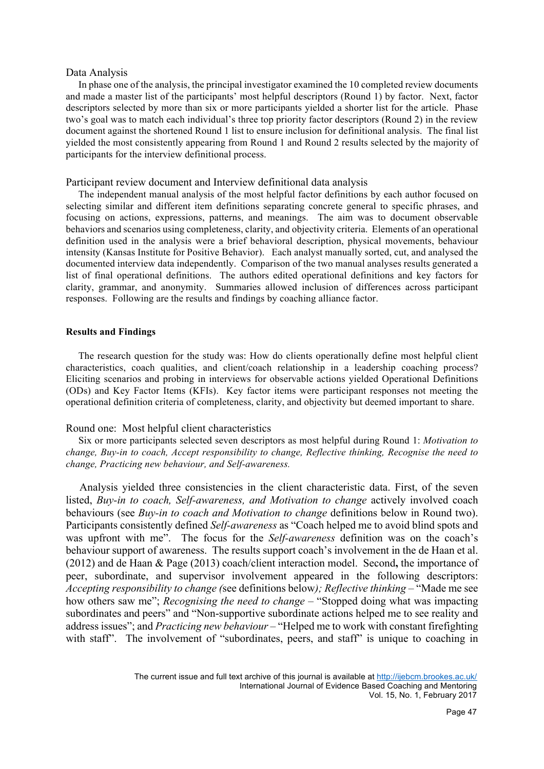#### Data Analysis

 In phase one of the analysis, the principal investigator examined the 10 completed review documents and made a master list of the participants' most helpful descriptors (Round 1) by factor. Next, factor descriptors selected by more than six or more participants yielded a shorter list for the article. Phase two's goal was to match each individual's three top priority factor descriptors (Round 2) in the review document against the shortened Round 1 list to ensure inclusion for definitional analysis. The final list yielded the most consistently appearing from Round 1 and Round 2 results selected by the majority of participants for the interview definitional process.

#### Participant review document and Interview definitional data analysis

 The independent manual analysis of the most helpful factor definitions by each author focused on selecting similar and different item definitions separating concrete general to specific phrases, and focusing on actions, expressions, patterns, and meanings. The aim was to document observable behaviors and scenarios using completeness, clarity, and objectivity criteria. Elements of an operational definition used in the analysis were a brief behavioral description, physical movements, behaviour intensity (Kansas Institute for Positive Behavior). Each analyst manually sorted, cut, and analysed the documented interview data independently. Comparison of the two manual analyses results generated a list of final operational definitions. The authors edited operational definitions and key factors for clarity, grammar, and anonymity. Summaries allowed inclusion of differences across participant responses. Following are the results and findings by coaching alliance factor.

#### **Results and Findings**

 The research question for the study was: How do clients operationally define most helpful client characteristics, coach qualities, and client/coach relationship in a leadership coaching process? Eliciting scenarios and probing in interviews for observable actions yielded Operational Definitions (ODs) and Key Factor Items (KFIs). Key factor items were participant responses not meeting the operational definition criteria of completeness, clarity, and objectivity but deemed important to share.

#### Round one: Most helpful client characteristics

 Six or more participants selected seven descriptors as most helpful during Round 1: *Motivation to change, Buy-in to coach, Accept responsibility to change, Reflective thinking, Recognise the need to change, Practicing new behaviour, and Self-awareness.* 

 Analysis yielded three consistencies in the client characteristic data. First, of the seven listed, *Buy-in to coach, Self-awareness, and Motivation to change* actively involved coach behaviours (see *Buy-in to coach and Motivation to change* definitions below in Round two). Participants consistently defined *Self-awareness* as "Coach helped me to avoid blind spots and was upfront with me". The focus for the *Self-awareness* definition was on the coach's behaviour support of awareness. The results support coach's involvement in the de Haan et al. (2012) and de Haan & Page (2013) coach/client interaction model. Second**,** the importance of peer, subordinate, and supervisor involvement appeared in the following descriptors: *Accepting responsibility to change (*see definitions below*); Reflective thinking* – "Made me see how others saw me"; *Recognising the need to change* – "Stopped doing what was impacting subordinates and peers" and "Non-supportive subordinate actions helped me to see reality and address issues"; and *Practicing new behaviour* – "Helped me to work with constant firefighting with staff". The involvement of "subordinates, peers, and staff" is unique to coaching in

The current issue and full text archive of this journal is available at http://ijebcm.brookes.ac.uk/ International Journal of Evidence Based Coaching and Mentoring Vol. 15, No. 1, February 2017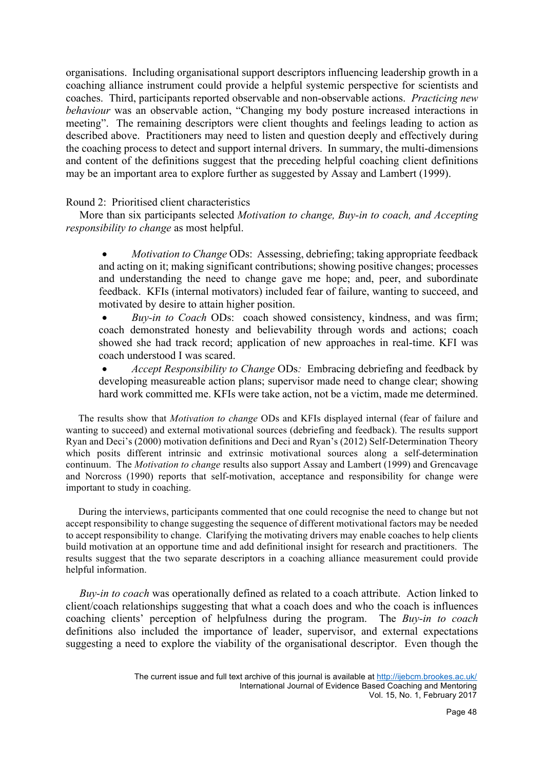organisations. Including organisational support descriptors influencing leadership growth in a coaching alliance instrument could provide a helpful systemic perspective for scientists and coaches. Third, participants reported observable and non-observable actions. *Practicing new behaviour* was an observable action, "Changing my body posture increased interactions in meeting". The remaining descriptors were client thoughts and feelings leading to action as described above. Practitioners may need to listen and question deeply and effectively during the coaching process to detect and support internal drivers. In summary, the multi-dimensions and content of the definitions suggest that the preceding helpful coaching client definitions may be an important area to explore further as suggested by Assay and Lambert (1999).

## Round 2: Prioritised client characteristics

 More than six participants selected *Motivation to change, Buy-in to coach, and Accepting responsibility to change* as most helpful.

• *Motivation to Change* ODs: Assessing, debriefing; taking appropriate feedback and acting on it; making significant contributions; showing positive changes; processes and understanding the need to change gave me hope; and, peer, and subordinate feedback. KFIs (internal motivators) included fear of failure, wanting to succeed, and motivated by desire to attain higher position.

• *Buy-in to Coach* ODs: coach showed consistency, kindness, and was firm; coach demonstrated honesty and believability through words and actions; coach showed she had track record; application of new approaches in real-time. KFI was coach understood I was scared.

• *Accept Responsibility to Change* ODs*:* Embracing debriefing and feedback by developing measureable action plans; supervisor made need to change clear; showing hard work committed me. KFIs were take action, not be a victim, made me determined.

 The results show that *Motivation to change* ODs and KFIs displayed internal (fear of failure and wanting to succeed) and external motivational sources (debriefing and feedback). The results support Ryan and Deci's (2000) motivation definitions and Deci and Ryan's (2012) Self-Determination Theory which posits different intrinsic and extrinsic motivational sources along a self-determination continuum. The *Motivation to change* results also support Assay and Lambert (1999) and Grencavage and Norcross (1990) reports that self-motivation, acceptance and responsibility for change were important to study in coaching.

 During the interviews, participants commented that one could recognise the need to change but not accept responsibility to change suggesting the sequence of different motivational factors may be needed to accept responsibility to change. Clarifying the motivating drivers may enable coaches to help clients build motivation at an opportune time and add definitional insight for research and practitioners. The results suggest that the two separate descriptors in a coaching alliance measurement could provide helpful information.

 *Buy-in to coach* was operationally defined as related to a coach attribute. Action linked to client/coach relationships suggesting that what a coach does and who the coach is influences coaching clients' perception of helpfulness during the program. The *Buy-in to coach* definitions also included the importance of leader, supervisor, and external expectations suggesting a need to explore the viability of the organisational descriptor. Even though the

The current issue and full text archive of this journal is available at http://ijebcm.brookes.ac.uk/ International Journal of Evidence Based Coaching and Mentoring Vol. 15, No. 1, February 2017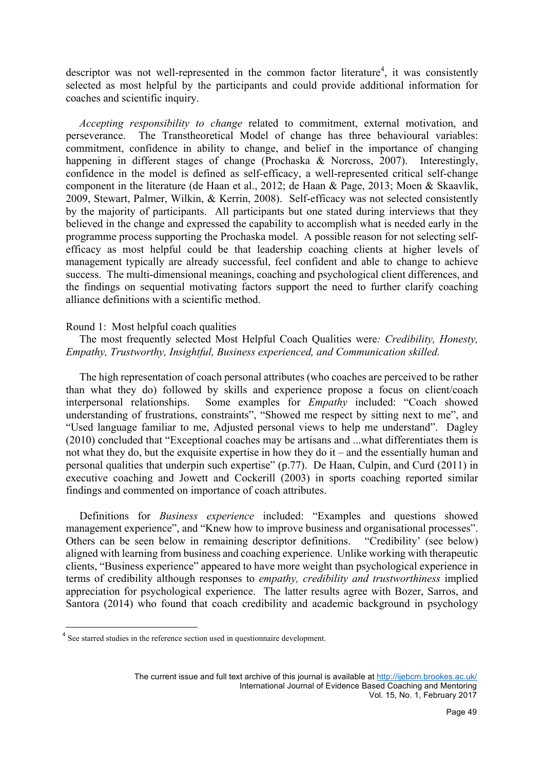descriptor was not well-represented in the common factor literature<sup>4</sup>, it was consistently selected as most helpful by the participants and could provide additional information for coaches and scientific inquiry.

 *Accepting responsibility to change* related to commitment, external motivation, and perseverance. The Transtheoretical Model of change has three behavioural variables: commitment, confidence in ability to change, and belief in the importance of changing happening in different stages of change (Prochaska & Norcross, 2007). Interestingly, confidence in the model is defined as self-efficacy, a well-represented critical self-change component in the literature (de Haan et al., 2012; de Haan & Page, 2013; Moen & Skaavlik, 2009, Stewart, Palmer, Wilkin, & Kerrin, 2008). Self-efficacy was not selected consistently by the majority of participants. All participants but one stated during interviews that they believed in the change and expressed the capability to accomplish what is needed early in the programme process supporting the Prochaska model. A possible reason for not selecting selfefficacy as most helpful could be that leadership coaching clients at higher levels of management typically are already successful, feel confident and able to change to achieve success. The multi-dimensional meanings, coaching and psychological client differences, and the findings on sequential motivating factors support the need to further clarify coaching alliance definitions with a scientific method.

## Round 1: Most helpful coach qualities

 The most frequently selected Most Helpful Coach Qualities were*: Credibility, Honesty, Empathy, Trustworthy, Insightful, Business experienced, and Communication skilled.*

 The high representation of coach personal attributes (who coaches are perceived to be rather than what they do) followed by skills and experience propose a focus on client/coach interpersonal relationships. Some examples for *Empathy* included: "Coach showed understanding of frustrations, constraints", "Showed me respect by sitting next to me", and "Used language familiar to me, Adjusted personal views to help me understand". Dagley (2010) concluded that "Exceptional coaches may be artisans and ...what differentiates them is not what they do, but the exquisite expertise in how they do it – and the essentially human and personal qualities that underpin such expertise" (p.77). De Haan, Culpin, and Curd (2011) in executive coaching and Jowett and Cockerill (2003) in sports coaching reported similar findings and commented on importance of coach attributes.

 Definitions for *Business experience* included: "Examples and questions showed management experience", and "Knew how to improve business and organisational processes". Others can be seen below in remaining descriptor definitions. "Credibility' (see below) aligned with learning from business and coaching experience. Unlike working with therapeutic clients, "Business experience" appeared to have more weight than psychological experience in terms of credibility although responses to *empathy, credibility and trustworthiness* implied appreciation for psychological experience. The latter results agree with Bozer, Sarros, and Santora (2014) who found that coach credibility and academic background in psychology

<sup>&</sup>lt;sup>4</sup> See starred studies in the reference section used in questionnaire development.

The current issue and full text archive of this journal is available at http://ijebcm.brookes.ac.uk/ International Journal of Evidence Based Coaching and Mentoring Vol. 15, No. 1, February 2017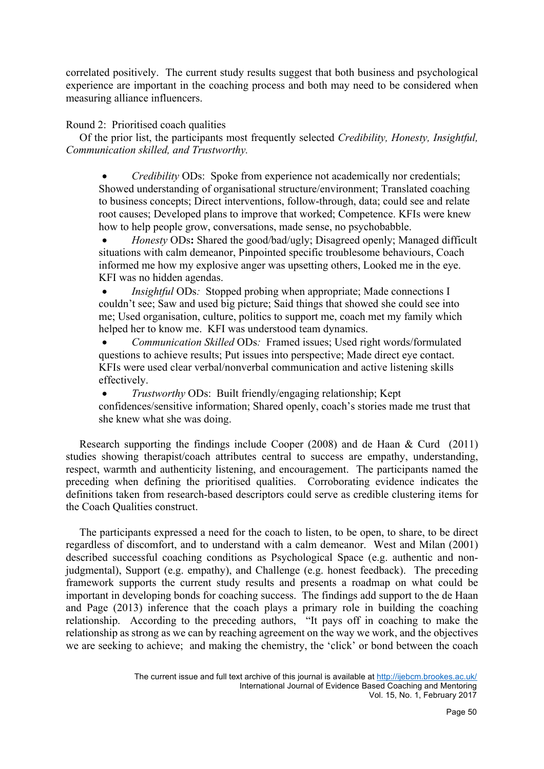correlated positively. The current study results suggest that both business and psychological experience are important in the coaching process and both may need to be considered when measuring alliance influencers.

## Round 2: Prioritised coach qualities

 Of the prior list, the participants most frequently selected *Credibility, Honesty, Insightful, Communication skilled, and Trustworthy.* 

• *Credibility* ODs: Spoke from experience not academically nor credentials; Showed understanding of organisational structure/environment; Translated coaching to business concepts; Direct interventions, follow-through, data; could see and relate root causes; Developed plans to improve that worked; Competence. KFIs were knew how to help people grow, conversations, made sense, no psychobabble.

• *Honesty* ODs**:** Shared the good/bad/ugly; Disagreed openly; Managed difficult situations with calm demeanor, Pinpointed specific troublesome behaviours, Coach informed me how my explosive anger was upsetting others, Looked me in the eye. KFI was no hidden agendas.

*Insightful* ODs: Stopped probing when appropriate; Made connections I couldn't see; Saw and used big picture; Said things that showed she could see into me; Used organisation, culture, politics to support me, coach met my family which helped her to know me. KFI was understood team dynamics.

• *Communication Skilled* ODs*:* Framed issues; Used right words/formulated questions to achieve results; Put issues into perspective; Made direct eye contact. KFIs were used clear verbal/nonverbal communication and active listening skills effectively.

• *Trustworthy* ODs: Built friendly/engaging relationship; Kept confidences/sensitive information; Shared openly, coach's stories made me trust that she knew what she was doing.

 Research supporting the findings include Cooper (2008) and de Haan & Curd (2011) studies showing therapist/coach attributes central to success are empathy, understanding, respect, warmth and authenticity listening, and encouragement. The participants named the preceding when defining the prioritised qualities. Corroborating evidence indicates the definitions taken from research-based descriptors could serve as credible clustering items for the Coach Qualities construct.

 The participants expressed a need for the coach to listen, to be open, to share, to be direct regardless of discomfort, and to understand with a calm demeanor. West and Milan (2001) described successful coaching conditions as Psychological Space (e.g. authentic and nonjudgmental), Support (e.g. empathy), and Challenge (e.g. honest feedback). The preceding framework supports the current study results and presents a roadmap on what could be important in developing bonds for coaching success. The findings add support to the de Haan and Page (2013) inference that the coach plays a primary role in building the coaching relationship. According to the preceding authors, "It pays off in coaching to make the relationship as strong as we can by reaching agreement on the way we work, and the objectives we are seeking to achieve; and making the chemistry, the 'click' or bond between the coach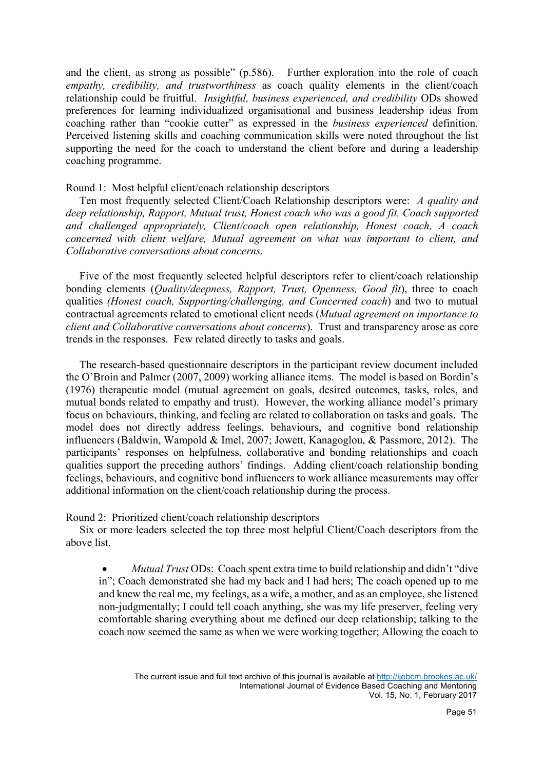and the client, as strong as possible" (p.586). Further exploration into the role of coach *empathy, credibility, and trustworthiness* as coach quality elements in the client/coach relationship could be fruitful. *Insightful, business experienced, and credibility* ODs showed preferences for learning individualized organisational and business leadership ideas from coaching rather than "cookie cutter" as expressed in the *business experienced* definition. Perceived listening skills and coaching communication skills were noted throughout the list supporting the need for the coach to understand the client before and during a leadership coaching programme.

Round 1: Most helpful client/coach relationship descriptors

 Ten most frequently selected Client/Coach Relationship descriptors were: *A quality and deep relationship, Rapport, Mutual trust, Honest coach who was a good fit, Coach supported and challenged appropriately, Client/coach open relationship, Honest coach, A coach concerned with client welfare, Mutual agreement on what was important to client, and Collaborative conversations about concerns.* 

 Five of the most frequently selected helpful descriptors refer to client/coach relationship bonding elements (*Quality/deepness, Rapport, Trust, Openness, Good fit*), three to coach qualities *(Honest coach, Supporting/challenging, and Concerned coach*) and two to mutual contractual agreements related to emotional client needs (*Mutual agreement on importance to client and Collaborative conversations about concerns*). Trust and transparency arose as core trends in the responses. Few related directly to tasks and goals.

 The research-based questionnaire descriptors in the participant review document included the O'Broin and Palmer (2007, 2009) working alliance items. The model is based on Bordin's (1976) therapeutic model (mutual agreement on goals, desired outcomes, tasks, roles, and mutual bonds related to empathy and trust). However, the working alliance model's primary focus on behaviours, thinking, and feeling are related to collaboration on tasks and goals. The model does not directly address feelings, behaviours, and cognitive bond relationship influencers (Baldwin, Wampold & Imel, 2007; Jowett, Kanagoglou, & Passmore, 2012). The participants' responses on helpfulness, collaborative and bonding relationships and coach qualities support the preceding authors' findings. Adding client/coach relationship bonding feelings, behaviours, and cognitive bond influencers to work alliance measurements may offer additional information on the client/coach relationship during the process.

Round 2: Prioritized client/coach relationship descriptors

 Six or more leaders selected the top three most helpful Client/Coach descriptors from the above list.

• *Mutual Trust* ODs:Coach spent extra time to build relationship and didn't "dive in"; Coach demonstrated she had my back and I had hers; The coach opened up to me and knew the real me, my feelings, as a wife, a mother, and as an employee, she listened non-judgmentally; I could tell coach anything, she was my life preserver, feeling very comfortable sharing everything about me defined our deep relationship; talking to the coach now seemed the same as when we were working together; Allowing the coach to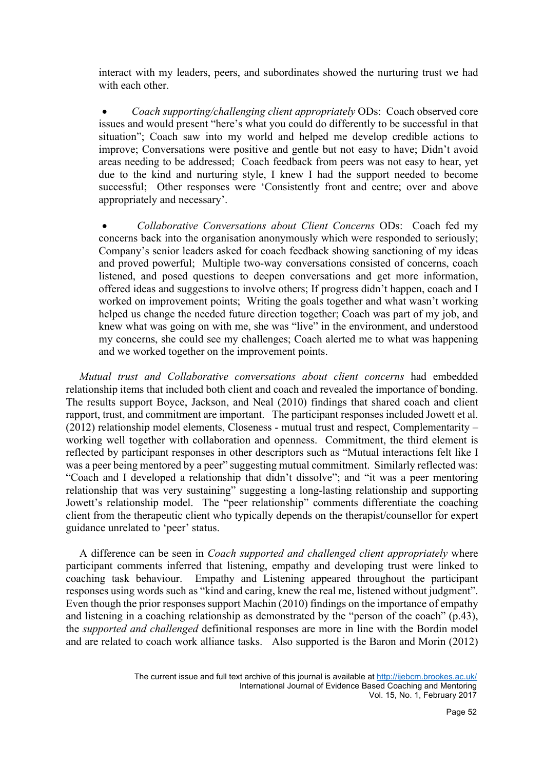interact with my leaders, peers, and subordinates showed the nurturing trust we had with each other

• *Coach supporting/challenging client appropriately* ODs: Coach observed core issues and would present "here's what you could do differently to be successful in that situation"; Coach saw into my world and helped me develop credible actions to improve; Conversations were positive and gentle but not easy to have; Didn't avoid areas needing to be addressed; Coach feedback from peers was not easy to hear, yet due to the kind and nurturing style, I knew I had the support needed to become successful; Other responses were 'Consistently front and centre; over and above appropriately and necessary'.

• *Collaborative Conversations about Client Concerns* ODs: Coach fed my concerns back into the organisation anonymously which were responded to seriously; Company's senior leaders asked for coach feedback showing sanctioning of my ideas and proved powerful; Multiple two-way conversations consisted of concerns, coach listened, and posed questions to deepen conversations and get more information, offered ideas and suggestions to involve others; If progress didn't happen, coach and I worked on improvement points; Writing the goals together and what wasn't working helped us change the needed future direction together; Coach was part of my job, and knew what was going on with me, she was "live" in the environment, and understood my concerns, she could see my challenges; Coach alerted me to what was happening and we worked together on the improvement points.

 *Mutual trust and Collaborative conversations about client concerns* had embedded relationship items that included both client and coach and revealed the importance of bonding. The results support Boyce, Jackson, and Neal (2010) findings that shared coach and client rapport, trust, and commitment are important. The participant responses included Jowett et al. (2012) relationship model elements, Closeness - mutual trust and respect, Complementarity – working well together with collaboration and openness. Commitment, the third element is reflected by participant responses in other descriptors such as "Mutual interactions felt like I was a peer being mentored by a peer" suggesting mutual commitment. Similarly reflected was: "Coach and I developed a relationship that didn't dissolve"; and "it was a peer mentoring relationship that was very sustaining" suggesting a long-lasting relationship and supporting Jowett's relationship model. The "peer relationship" comments differentiate the coaching client from the therapeutic client who typically depends on the therapist/counsellor for expert guidance unrelated to 'peer' status.

 A difference can be seen in *Coach supported and challenged client appropriately* where participant comments inferred that listening, empathy and developing trust were linked to coaching task behaviour. Empathy and Listening appeared throughout the participant responses using words such as "kind and caring, knew the real me, listened without judgment". Even though the prior responses support Machin (2010) findings on the importance of empathy and listening in a coaching relationship as demonstrated by the "person of the coach" (p.43), the *supported and challenged* definitional responses are more in line with the Bordin model and are related to coach work alliance tasks. Also supported is the Baron and Morin (2012)

The current issue and full text archive of this journal is available at http://ijebcm.brookes.ac.uk/ International Journal of Evidence Based Coaching and Mentoring Vol. 15, No. 1, February 2017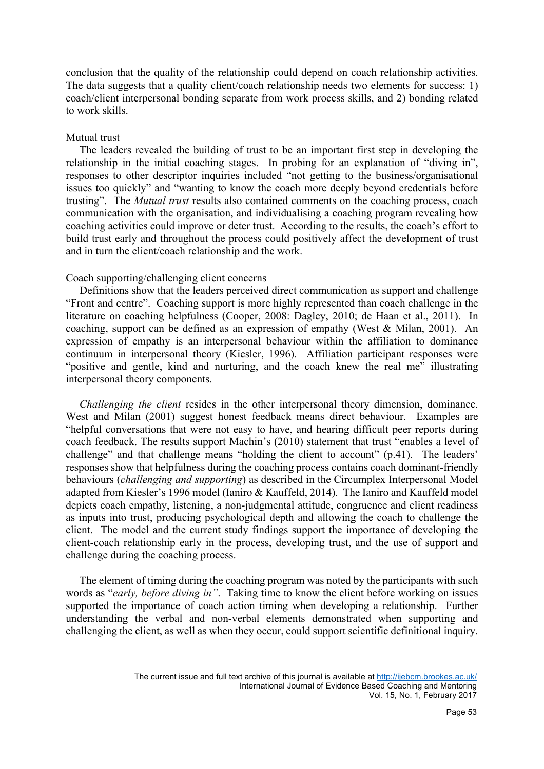conclusion that the quality of the relationship could depend on coach relationship activities. The data suggests that a quality client/coach relationship needs two elements for success: 1) coach/client interpersonal bonding separate from work process skills, and 2) bonding related to work skills.

## Mutual trust

 The leaders revealed the building of trust to be an important first step in developing the relationship in the initial coaching stages. In probing for an explanation of "diving in", responses to other descriptor inquiries included "not getting to the business/organisational issues too quickly" and "wanting to know the coach more deeply beyond credentials before trusting". The *Mutual trust* results also contained comments on the coaching process, coach communication with the organisation, and individualising a coaching program revealing how coaching activities could improve or deter trust. According to the results, the coach's effort to build trust early and throughout the process could positively affect the development of trust and in turn the client/coach relationship and the work.

#### Coach supporting/challenging client concerns

Definitions show that the leaders perceived direct communication as support and challenge "Front and centre". Coaching support is more highly represented than coach challenge in the literature on coaching helpfulness (Cooper, 2008: Dagley, 2010; de Haan et al., 2011). In coaching, support can be defined as an expression of empathy (West & Milan, 2001). An expression of empathy is an interpersonal behaviour within the affiliation to dominance continuum in interpersonal theory (Kiesler, 1996). Affiliation participant responses were "positive and gentle, kind and nurturing, and the coach knew the real me" illustrating interpersonal theory components.

 *Challenging the client* resides in the other interpersonal theory dimension, dominance. West and Milan (2001) suggest honest feedback means direct behaviour. Examples are "helpful conversations that were not easy to have, and hearing difficult peer reports during coach feedback. The results support Machin's (2010) statement that trust "enables a level of challenge" and that challenge means "holding the client to account" (p.41). The leaders' responses show that helpfulness during the coaching process contains coach dominant-friendly behaviours (*challenging and supporting*) as described in the Circumplex Interpersonal Model adapted from Kiesler's 1996 model (Ianiro & Kauffeld, 2014). The Ianiro and Kauffeld model depicts coach empathy, listening, a non-judgmental attitude, congruence and client readiness as inputs into trust, producing psychological depth and allowing the coach to challenge the client. The model and the current study findings support the importance of developing the client-coach relationship early in the process, developing trust, and the use of support and challenge during the coaching process.

 The element of timing during the coaching program was noted by the participants with such words as "*early, before diving in"*. Taking time to know the client before working on issues supported the importance of coach action timing when developing a relationship. Further understanding the verbal and non-verbal elements demonstrated when supporting and challenging the client, as well as when they occur, could support scientific definitional inquiry.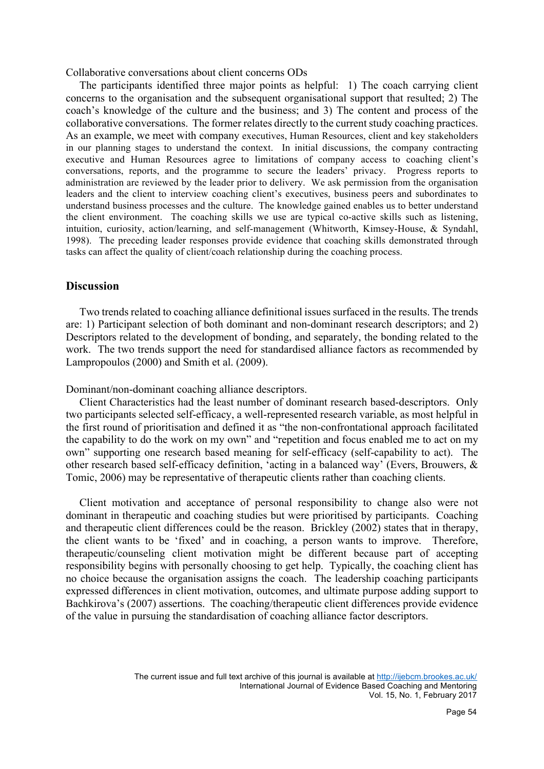Collaborative conversations about client concerns ODs

 The participants identified three major points as helpful: 1) The coach carrying client concerns to the organisation and the subsequent organisational support that resulted; 2) The coach's knowledge of the culture and the business; and 3) The content and process of the collaborative conversations. The former relates directly to the current study coaching practices. As an example, we meet with company executives, Human Resources, client and key stakeholders in our planning stages to understand the context. In initial discussions, the company contracting executive and Human Resources agree to limitations of company access to coaching client's conversations, reports, and the programme to secure the leaders' privacy. Progress reports to administration are reviewed by the leader prior to delivery. We ask permission from the organisation leaders and the client to interview coaching client's executives, business peers and subordinates to understand business processes and the culture. The knowledge gained enables us to better understand the client environment. The coaching skills we use are typical co-active skills such as listening, intuition, curiosity, action/learning, and self-management (Whitworth, Kimsey-House, & Syndahl, 1998). The preceding leader responses provide evidence that coaching skills demonstrated through tasks can affect the quality of client/coach relationship during the coaching process.

## **Discussion**

 Two trends related to coaching alliance definitional issues surfaced in the results. The trends are: 1) Participant selection of both dominant and non-dominant research descriptors; and 2) Descriptors related to the development of bonding, and separately, the bonding related to the work. The two trends support the need for standardised alliance factors as recommended by Lampropoulos (2000) and Smith et al. (2009).

Dominant/non-dominant coaching alliance descriptors.

 Client Characteristics had the least number of dominant research based-descriptors. Only two participants selected self-efficacy, a well-represented research variable, as most helpful in the first round of prioritisation and defined it as "the non-confrontational approach facilitated the capability to do the work on my own" and "repetition and focus enabled me to act on my own" supporting one research based meaning for self-efficacy (self-capability to act). The other research based self-efficacy definition, 'acting in a balanced way' (Evers, Brouwers, & Tomic, 2006) may be representative of therapeutic clients rather than coaching clients.

 Client motivation and acceptance of personal responsibility to change also were not dominant in therapeutic and coaching studies but were prioritised by participants. Coaching and therapeutic client differences could be the reason. Brickley (2002) states that in therapy, the client wants to be 'fixed' and in coaching, a person wants to improve. Therefore, therapeutic/counseling client motivation might be different because part of accepting responsibility begins with personally choosing to get help. Typically, the coaching client has no choice because the organisation assigns the coach. The leadership coaching participants expressed differences in client motivation, outcomes, and ultimate purpose adding support to Bachkirova's (2007) assertions. The coaching/therapeutic client differences provide evidence of the value in pursuing the standardisation of coaching alliance factor descriptors.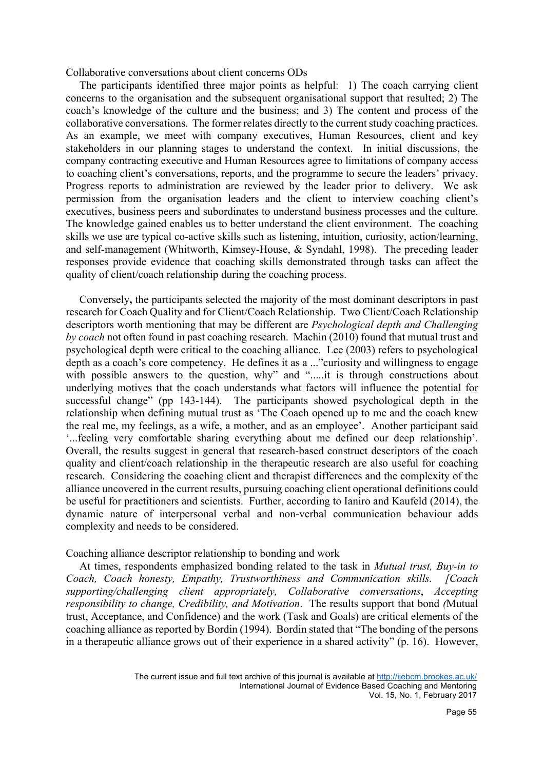Collaborative conversations about client concerns ODs

 The participants identified three major points as helpful: 1) The coach carrying client concerns to the organisation and the subsequent organisational support that resulted; 2) The coach's knowledge of the culture and the business; and 3) The content and process of the collaborative conversations. The former relates directly to the current study coaching practices. As an example, we meet with company executives, Human Resources, client and key stakeholders in our planning stages to understand the context. In initial discussions, the company contracting executive and Human Resources agree to limitations of company access to coaching client's conversations, reports, and the programme to secure the leaders' privacy. Progress reports to administration are reviewed by the leader prior to delivery. We ask permission from the organisation leaders and the client to interview coaching client's executives, business peers and subordinates to understand business processes and the culture. The knowledge gained enables us to better understand the client environment. The coaching skills we use are typical co-active skills such as listening, intuition, curiosity, action/learning, and self-management (Whitworth, Kimsey-House, & Syndahl, 1998). The preceding leader responses provide evidence that coaching skills demonstrated through tasks can affect the quality of client/coach relationship during the coaching process.

 Conversely**,** the participants selected the majority of the most dominant descriptors in past research for Coach Quality and for Client/Coach Relationship. Two Client/Coach Relationship descriptors worth mentioning that may be different are *Psychological depth and Challenging by coach* not often found in past coaching research. Machin (2010) found that mutual trust and psychological depth were critical to the coaching alliance. Lee (2003) refers to psychological depth as a coach's core competency. He defines it as a ..."curiosity and willingness to engage with possible answers to the question, why" and ".....it is through constructions about underlying motives that the coach understands what factors will influence the potential for successful change" (pp 143-144). The participants showed psychological depth in the relationship when defining mutual trust as 'The Coach opened up to me and the coach knew the real me, my feelings, as a wife, a mother, and as an employee'. Another participant said '...feeling very comfortable sharing everything about me defined our deep relationship'. Overall, the results suggest in general that research-based construct descriptors of the coach quality and client/coach relationship in the therapeutic research are also useful for coaching research. Considering the coaching client and therapist differences and the complexity of the alliance uncovered in the current results, pursuing coaching client operational definitions could be useful for practitioners and scientists. Further, according to Ianiro and Kaufeld (2014), the dynamic nature of interpersonal verbal and non-verbal communication behaviour adds complexity and needs to be considered.

#### Coaching alliance descriptor relationship to bonding and work

 At times, respondents emphasized bonding related to the task in *Mutual trust, Buy-in to Coach, Coach honesty, Empathy, Trustworthiness and Communication skills. [Coach supporting/challenging client appropriately, Collaborative conversations*, *Accepting responsibility to change, Credibility, and Motivation*. The results support that bond *(*Mutual trust, Acceptance, and Confidence) and the work (Task and Goals) are critical elements of the coaching alliance as reported by Bordin (1994). Bordin stated that "The bonding of the persons in a therapeutic alliance grows out of their experience in a shared activity" (p. 16). However,

The current issue and full text archive of this journal is available at http://ijebcm.brookes.ac.uk/ International Journal of Evidence Based Coaching and Mentoring Vol. 15, No. 1, February 2017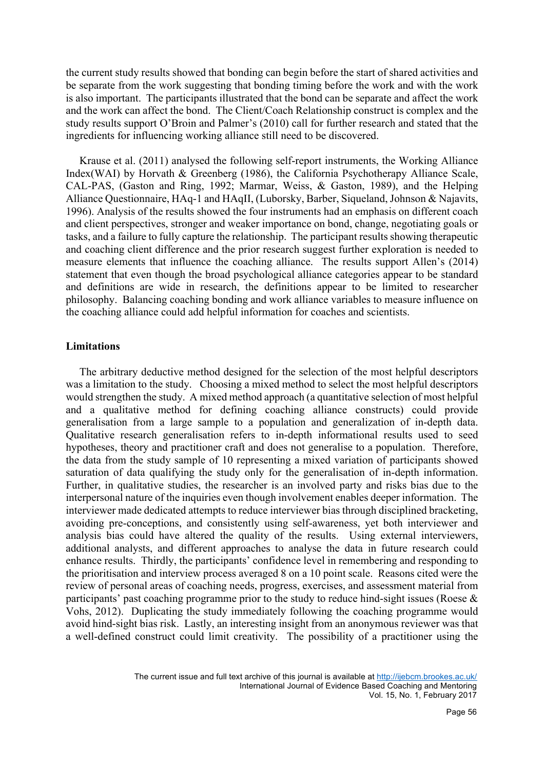the current study results showed that bonding can begin before the start of shared activities and be separate from the work suggesting that bonding timing before the work and with the work is also important. The participants illustrated that the bond can be separate and affect the work and the work can affect the bond. The Client/Coach Relationship construct is complex and the study results support O'Broin and Palmer's (2010) call for further research and stated that the ingredients for influencing working alliance still need to be discovered.

 Krause et al. (2011) analysed the following self-report instruments, the Working Alliance Index(WAI) by Horvath & Greenberg (1986), the California Psychotherapy Alliance Scale, CAL-PAS, (Gaston and Ring, 1992; Marmar, Weiss, & Gaston, 1989), and the Helping Alliance Questionnaire, HAq-1 and HAqII, (Luborsky, Barber, Siqueland, Johnson & Najavits, 1996). Analysis of the results showed the four instruments had an emphasis on different coach and client perspectives, stronger and weaker importance on bond, change, negotiating goals or tasks, and a failure to fully capture the relationship. The participant results showing therapeutic and coaching client difference and the prior research suggest further exploration is needed to measure elements that influence the coaching alliance. The results support Allen's (2014) statement that even though the broad psychological alliance categories appear to be standard and definitions are wide in research, the definitions appear to be limited to researcher philosophy. Balancing coaching bonding and work alliance variables to measure influence on the coaching alliance could add helpful information for coaches and scientists.

#### **Limitations**

 The arbitrary deductive method designed for the selection of the most helpful descriptors was a limitation to the study. Choosing a mixed method to select the most helpful descriptors would strengthen the study. A mixed method approach (a quantitative selection of most helpful and a qualitative method for defining coaching alliance constructs) could provide generalisation from a large sample to a population and generalization of in-depth data. Qualitative research generalisation refers to in-depth informational results used to seed hypotheses, theory and practitioner craft and does not generalise to a population. Therefore, the data from the study sample of 10 representing a mixed variation of participants showed saturation of data qualifying the study only for the generalisation of in-depth information. Further, in qualitative studies, the researcher is an involved party and risks bias due to the interpersonal nature of the inquiries even though involvement enables deeper information. The interviewer made dedicated attempts to reduce interviewer bias through disciplined bracketing, avoiding pre-conceptions, and consistently using self-awareness, yet both interviewer and analysis bias could have altered the quality of the results. Using external interviewers, additional analysts, and different approaches to analyse the data in future research could enhance results. Thirdly, the participants' confidence level in remembering and responding to the prioritisation and interview process averaged 8 on a 10 point scale. Reasons cited were the review of personal areas of coaching needs, progress, exercises, and assessment material from participants' past coaching programme prior to the study to reduce hind-sight issues (Roese  $\&$ Vohs, 2012). Duplicating the study immediately following the coaching programme would avoid hind-sight bias risk. Lastly, an interesting insight from an anonymous reviewer was that a well-defined construct could limit creativity. The possibility of a practitioner using the

The current issue and full text archive of this journal is available at http://ijebcm.brookes.ac.uk/ International Journal of Evidence Based Coaching and Mentoring Vol. 15, No. 1, February 2017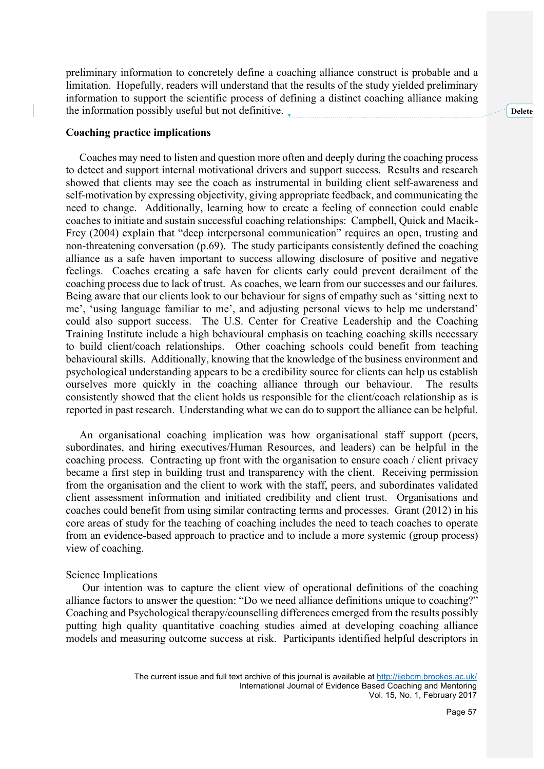preliminary information to concretely define a coaching alliance construct is probable and a limitation. Hopefully, readers will understand that the results of the study yielded preliminary information to support the scientific process of defining a distinct coaching alliance making the information possibly useful but not definitive.

#### **Coaching practice implications**

 Coaches may need to listen and question more often and deeply during the coaching process to detect and support internal motivational drivers and support success. Results and research showed that clients may see the coach as instrumental in building client self-awareness and self-motivation by expressing objectivity, giving appropriate feedback, and communicating the need to change. Additionally, learning how to create a feeling of connection could enable coaches to initiate and sustain successful coaching relationships: Campbell, Quick and Macik-Frey (2004) explain that "deep interpersonal communication" requires an open, trusting and non-threatening conversation (p.69). The study participants consistently defined the coaching alliance as a safe haven important to success allowing disclosure of positive and negative feelings. Coaches creating a safe haven for clients early could prevent derailment of the coaching process due to lack of trust. As coaches, we learn from our successes and our failures. Being aware that our clients look to our behaviour for signs of empathy such as 'sitting next to me', 'using language familiar to me', and adjusting personal views to help me understand' could also support success. The U.S. Center for Creative Leadership and the Coaching Training Institute include a high behavioural emphasis on teaching coaching skills necessary to build client/coach relationships. Other coaching schools could benefit from teaching behavioural skills. Additionally, knowing that the knowledge of the business environment and psychological understanding appears to be a credibility source for clients can help us establish ourselves more quickly in the coaching alliance through our behaviour. The results consistently showed that the client holds us responsible for the client/coach relationship as is reported in past research. Understanding what we can do to support the alliance can be helpful.

 An organisational coaching implication was how organisational staff support (peers, subordinates, and hiring executives/Human Resources, and leaders) can be helpful in the coaching process. Contracting up front with the organisation to ensure coach / client privacy became a first step in building trust and transparency with the client. Receiving permission from the organisation and the client to work with the staff, peers, and subordinates validated client assessment information and initiated credibility and client trust. Organisations and coaches could benefit from using similar contracting terms and processes. Grant (2012) in his core areas of study for the teaching of coaching includes the need to teach coaches to operate from an evidence-based approach to practice and to include a more systemic (group process) view of coaching.

#### Science Implications

 Our intention was to capture the client view of operational definitions of the coaching alliance factors to answer the question: "Do we need alliance definitions unique to coaching?" Coaching and Psychological therapy/counselling differences emerged from the results possibly putting high quality quantitative coaching studies aimed at developing coaching alliance models and measuring outcome success at risk. Participants identified helpful descriptors in

**Delete** 

The current issue and full text archive of this journal is available at http://ijebcm.brookes.ac.uk/ International Journal of Evidence Based Coaching and Mentoring Vol. 15, No. 1, February 2017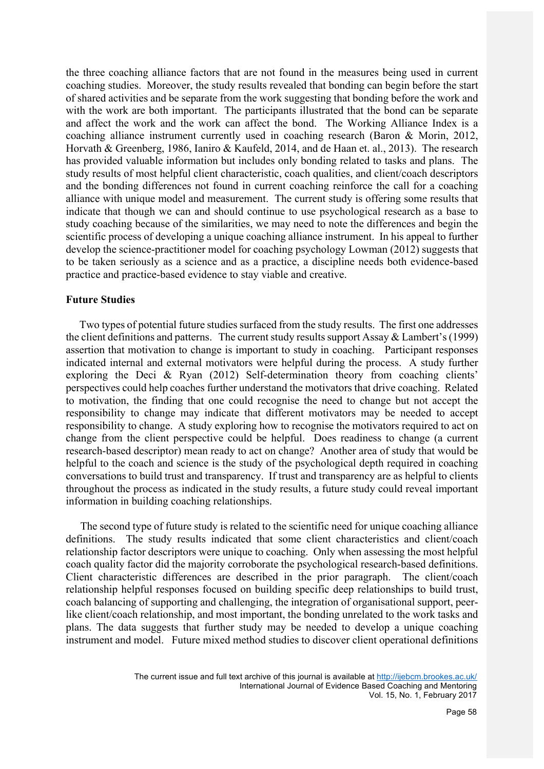the three coaching alliance factors that are not found in the measures being used in current coaching studies. Moreover, the study results revealed that bonding can begin before the start of shared activities and be separate from the work suggesting that bonding before the work and with the work are both important. The participants illustrated that the bond can be separate and affect the work and the work can affect the bond. The Working Alliance Index is a coaching alliance instrument currently used in coaching research (Baron & Morin, 2012, Horvath & Greenberg, 1986, Ianiro & Kaufeld, 2014, and de Haan et. al., 2013). The research has provided valuable information but includes only bonding related to tasks and plans. The study results of most helpful client characteristic, coach qualities, and client/coach descriptors and the bonding differences not found in current coaching reinforce the call for a coaching alliance with unique model and measurement. The current study is offering some results that indicate that though we can and should continue to use psychological research as a base to study coaching because of the similarities, we may need to note the differences and begin the scientific process of developing a unique coaching alliance instrument. In his appeal to further develop the science-practitioner model for coaching psychology Lowman (2012) suggests that to be taken seriously as a science and as a practice, a discipline needs both evidence-based practice and practice-based evidence to stay viable and creative.

## **Future Studies**

 Two types of potential future studies surfaced from the study results. The first one addresses the client definitions and patterns. The current study results support Assay & Lambert's (1999) assertion that motivation to change is important to study in coaching. Participant responses indicated internal and external motivators were helpful during the process. A study further exploring the Deci & Ryan (2012) Self-determination theory from coaching clients' perspectives could help coaches further understand the motivators that drive coaching. Related to motivation, the finding that one could recognise the need to change but not accept the responsibility to change may indicate that different motivators may be needed to accept responsibility to change. A study exploring how to recognise the motivators required to act on change from the client perspective could be helpful. Does readiness to change (a current research-based descriptor) mean ready to act on change? Another area of study that would be helpful to the coach and science is the study of the psychological depth required in coaching conversations to build trust and transparency. If trust and transparency are as helpful to clients throughout the process as indicated in the study results, a future study could reveal important information in building coaching relationships.

The second type of future study is related to the scientific need for unique coaching alliance definitions. The study results indicated that some client characteristics and client/coach relationship factor descriptors were unique to coaching. Only when assessing the most helpful coach quality factor did the majority corroborate the psychological research-based definitions. Client characteristic differences are described in the prior paragraph. The client/coach relationship helpful responses focused on building specific deep relationships to build trust, coach balancing of supporting and challenging, the integration of organisational support, peerlike client/coach relationship, and most important, the bonding unrelated to the work tasks and plans. The data suggests that further study may be needed to develop a unique coaching instrument and model. Future mixed method studies to discover client operational definitions

> The current issue and full text archive of this journal is available at http://ijebcm.brookes.ac.uk/ International Journal of Evidence Based Coaching and Mentoring Vol. 15, No. 1, February 2017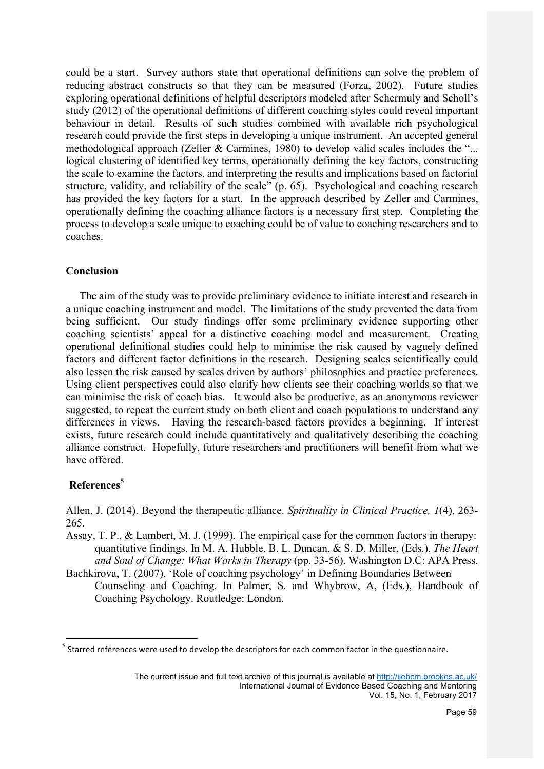could be a start. Survey authors state that operational definitions can solve the problem of reducing abstract constructs so that they can be measured (Forza, 2002). Future studies exploring operational definitions of helpful descriptors modeled after Schermuly and Scholl's study (2012) of the operational definitions of different coaching styles could reveal important behaviour in detail.Results of such studies combined with available rich psychological research could provide the first steps in developing a unique instrument. An accepted general methodological approach (Zeller  $\&$  Carmines, 1980) to develop valid scales includes the "... logical clustering of identified key terms, operationally defining the key factors, constructing the scale to examine the factors, and interpreting the results and implications based on factorial structure, validity, and reliability of the scale" (p. 65). Psychological and coaching research has provided the key factors for a start. In the approach described by Zeller and Carmines, operationally defining the coaching alliance factors is a necessary first step. Completing the process to develop a scale unique to coaching could be of value to coaching researchers and to coaches.

## **Conclusion**

 The aim of the study was to provide preliminary evidence to initiate interest and research in a unique coaching instrument and model. The limitations of the study prevented the data from being sufficient. Our study findings offer some preliminary evidence supporting other coaching scientists' appeal for a distinctive coaching model and measurement. Creating operational definitional studies could help to minimise the risk caused by vaguely defined factors and different factor definitions in the research. Designing scales scientifically could also lessen the risk caused by scales driven by authors' philosophies and practice preferences. Using client perspectives could also clarify how clients see their coaching worlds so that we can minimise the risk of coach bias. It would also be productive, as an anonymous reviewer suggested, to repeat the current study on both client and coach populations to understand any differences in views. Having the research-based factors provides a beginning. If interest exists, future research could include quantitatively and qualitatively describing the coaching alliance construct. Hopefully, future researchers and practitioners will benefit from what we have offered.

## **References5**

Allen, J. (2014). Beyond the therapeutic alliance. *Spirituality in Clinical Practice, 1*(4), 263- 265.

- Assay, T. P., & Lambert, M. J. (1999). The empirical case for the common factors in therapy: quantitative findings. In M. A. Hubble, B. L. Duncan, & S. D. Miller, (Eds.), *The Heart and Soul of Change: What Works in Therapy* (pp. 33-56). Washington D.C: APA Press.
- Bachkirova, T. (2007). 'Role of coaching psychology' in Defining Boundaries Between Counseling and Coaching. In Palmer, S. and Whybrow, A, (Eds.), Handbook of Coaching Psychology. Routledge: London.

 $<sup>5</sup>$  Starred references were used to develop the descriptors for each common factor in the questionnaire.</sup>

The current issue and full text archive of this journal is available at http://ijebcm.brookes.ac.uk/ International Journal of Evidence Based Coaching and Mentoring Vol. 15, No. 1, February 2017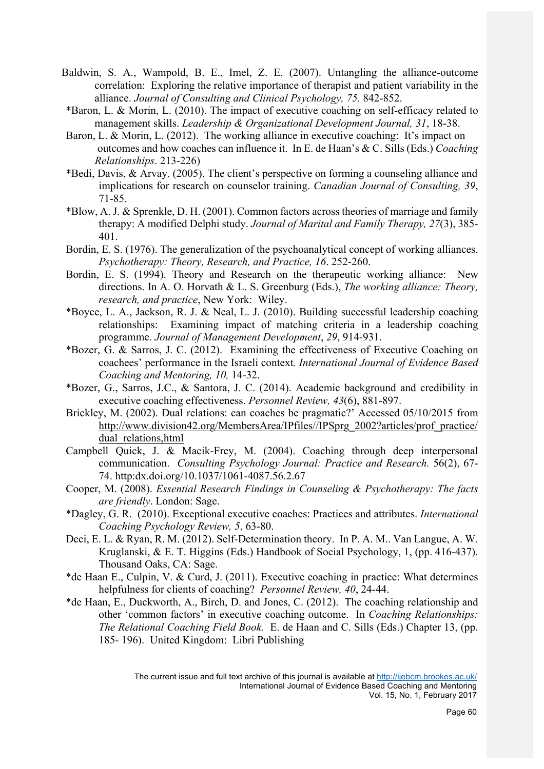- Baldwin, S. A., Wampold, B. E., Imel, Z. E. (2007). Untangling the alliance-outcome correlation: Exploring the relative importance of therapist and patient variability in the alliance. *Journal of Consulting and Clinical Psychology, 75.* 842-852.
- \*Baron, L. & Morin, L. (2010). The impact of executive coaching on self-efficacy related to management skills. *Leadership & Organizational Development Journal, 31*, 18-38.
- Baron, L. & Morin, L. (2012). The working alliance in executive coaching: It's impact on outcomes and how coaches can influence it. In E. de Haan's & C. Sills (Eds.) *Coaching Relationships*. 213-226)
- \*Bedi, Davis, & Arvay. (2005). The client's perspective on forming a counseling alliance and implications for research on counselor training. *Canadian Journal of Consulting, 39*, 71-85.
- \*Blow, A. J. & Sprenkle, D. H. (2001). Common factors across theories of marriage and family therapy: A modified Delphi study. *Journal of Marital and Family Therapy, 27*(3), 385- 401.
- Bordin, E. S. (1976). The generalization of the psychoanalytical concept of working alliances. *Psychotherapy: Theory, Research, and Practice, 16*. 252-260.
- Bordin, E. S. (1994). Theory and Research on the therapeutic working alliance: New directions. In A. O. Horvath & L. S. Greenburg (Eds.), *The working alliance: Theory, research, and practice*, New York: Wiley.
- \*Boyce, L. A., Jackson, R. J. & Neal, L. J. (2010). Building successful leadership coaching relationships: Examining impact of matching criteria in a leadership coaching programme. *Journal of Management Development*, *29*, 914-931.
- \*Bozer, G. & Sarros, J. C. (2012). Examining the effectiveness of Executive Coaching on coachees' performance in the Israeli context*. International Journal of Evidence Based Coaching and Mentoring, 10,* 14-32.
- \*Bozer, G., Sarros, J.C., & Santora, J. C. (2014). Academic background and credibility in executive coaching effectiveness. *Personnel Review, 43*(6), 881-897.
- Brickley, M. (2002). Dual relations: can coaches be pragmatic?' Accessed 05/10/2015 from http://www.division42.org/MembersArea/IPfiles//IPSprg\_2002?articles/prof\_practice/ dual\_relations,html
- Campbell Quick, J. & Macik-Frey, M. (2004). Coaching through deep interpersonal communication. *Consulting Psychology Journal: Practice and Research.* 56(2), 67- 74. http:dx.doi.org/10.1037/1061-4087.56.2.67
- Cooper, M. (2008). *Essential Research Findings in Counseling & Psychotherapy: The facts are friendly*. London: Sage.
- \*Dagley, G. R. (2010). Exceptional executive coaches: Practices and attributes. *International Coaching Psychology Review, 5*, 63-80.
- Deci, E. L. & Ryan, R. M. (2012). Self-Determination theory. In P. A. M.. Van Langue, A. W. Kruglanski, & E. T. Higgins (Eds.) Handbook of Social Psychology, 1, (pp. 416-437). Thousand Oaks, CA: Sage.
- \*de Haan E., Culpin, V. & Curd, J. (2011). Executive coaching in practice: What determines helpfulness for clients of coaching? *Personnel Review, 40*, 24-44.
- \*de Haan, E., Duckworth, A., Birch, D. and Jones, C. (2012). The coaching relationship and other 'common factors' in executive coaching outcome. In *Coaching Relationships: The Relational Coaching Field Book.* E. de Haan and C. Sills (Eds.) Chapter 13, (pp. 185- 196). United Kingdom: Libri Publishing

The current issue and full text archive of this journal is available at http://ijebcm.brookes.ac.uk/ International Journal of Evidence Based Coaching and Mentoring Vol. 15, No. 1, February 2017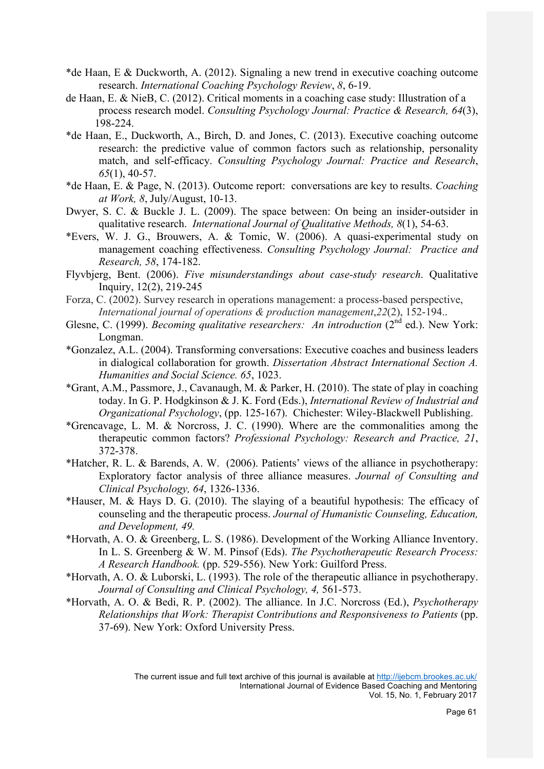- \*de Haan, E & Duckworth, A. (2012). Signaling a new trend in executive coaching outcome research. *International Coaching Psychology Review*, *8*, 6-19.
- de Haan, E. & NieB, C. (2012). Critical moments in a coaching case study: Illustration of a process research model. *Consulting Psychology Journal: Practice & Research, 64*(3), 198-224.
- \*de Haan, E., Duckworth, A., Birch, D. and Jones, C. (2013). Executive coaching outcome research: the predictive value of common factors such as relationship, personality match, and self-efficacy. *Consulting Psychology Journal: Practice and Research*, *65*(1), 40-57.
- \*de Haan, E. & Page, N. (2013). Outcome report: conversations are key to results. *Coaching at Work, 8*, July/August, 10-13.
- Dwyer, S. C. & Buckle J. L. (2009). The space between: On being an insider-outsider in qualitative research. *International Journal of Qualitative Methods, 8*(1), 54-63.
- \*Evers, W. J. G., Brouwers, A. & Tomic, W. (2006). A quasi-experimental study on management coaching effectiveness. *Consulting Psychology Journal: Practice and Research, 58*, 174-182.
- Flyvbjerg, Bent. (2006). *Five misunderstandings about case-study research*. Qualitative Inquiry, 12(2), 219-245
- Forza, C. (2002). Survey research in operations management: a process-based perspective, *International journal of operations & production management*,*22*(2), 152-194..
- Glesne, C. (1999). *Becoming qualitative researchers: An introduction* (2<sup>nd</sup> ed.). New York: Longman.
- \*Gonzalez, A.L. (2004). Transforming conversations: Executive coaches and business leaders in dialogical collaboration for growth. *Dissertation Abstract International Section A. Humanities and Social Science. 65*, 1023.
- \*Grant, A.M., Passmore, J., Cavanaugh, M. & Parker, H. (2010). The state of play in coaching today. In G. P. Hodgkinson & J. K. Ford (Eds.), *International Review of Industrial and Organizational Psychology*, (pp. 125-167). Chichester: Wiley-Blackwell Publishing.
- \*Grencavage, L. M. & Norcross, J. C. (1990). Where are the commonalities among the therapeutic common factors? *Professional Psychology: Research and Practice, 21*, 372-378.
- \*Hatcher, R. L. & Barends, A. W. (2006). Patients' views of the alliance in psychotherapy: Exploratory factor analysis of three alliance measures. *Journal of Consulting and Clinical Psychology, 64*, 1326-1336.
- \*Hauser, M. & Hays D. G. (2010). The slaying of a beautiful hypothesis: The efficacy of counseling and the therapeutic process. *Journal of Humanistic Counseling, Education, and Development, 49.*
- \*Horvath, A. O. & Greenberg, L. S. (1986). Development of the Working Alliance Inventory. In L. S. Greenberg & W. M. Pinsof (Eds). *The Psychotherapeutic Research Process: A Research Handbook.* (pp. 529-556). New York: Guilford Press.
- \*Horvath, A. O. & Luborski, L. (1993). The role of the therapeutic alliance in psychotherapy. *Journal of Consulting and Clinical Psychology, 4,* 561-573.
- \*Horvath, A. O. & Bedi, R. P. (2002). The alliance. In J.C. Norcross (Ed.), *Psychotherapy Relationships that Work: Therapist Contributions and Responsiveness to Patients* (pp. 37-69). New York: Oxford University Press.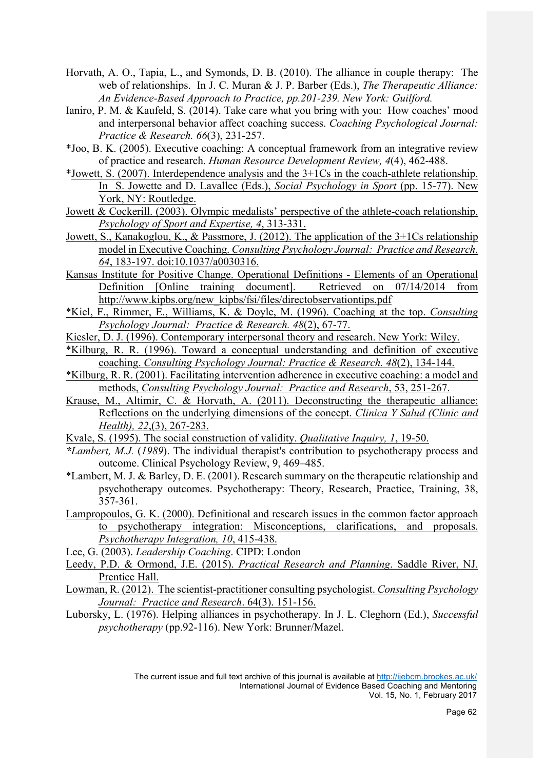- Horvath, A. O., Tapia, L., and Symonds, D. B. (2010). The alliance in couple therapy: The web of relationships. In J. C. Muran & J. P. Barber (Eds.), *The Therapeutic Alliance: An Evidence-Based Approach to Practice, pp.201-239. New York: Guilford.*
- Ianiro, P. M. & Kaufeld, S. (2014). Take care what you bring with you: How coaches' mood and interpersonal behavior affect coaching success. *Coaching Psychological Journal: Practice & Research. 66*(3), 231-257.
- \*Joo, B. K. (2005). Executive coaching: A conceptual framework from an integrative review of practice and research. *Human Resource Development Review, 4*(4), 462-488.
- \*Jowett, S. (2007). Interdependence analysis and the 3+1Cs in the coach-athlete relationship. In S. Jowette and D. Lavallee (Eds.), *Social Psychology in Sport* (pp. 15-77). New York, NY: Routledge.
- Jowett & Cockerill. (2003). Olympic medalists' perspective of the athlete-coach relationship. *Psychology of Sport and Expertise, 4*, 313-331.
- Jowett, S., Kanakoglou, K., & Passmore, J. (2012). The application of the 3+1Cs relationship model in Executive Coaching. *Consulting Psychology Journal: Practice and Research. 64*, 183-197. doi:10.1037/a0030316.
- Kansas Institute for Positive Change. Operational Definitions Elements of an Operational Definition [Online training document]. Retrieved on 07/14/2014 from http://www.kipbs.org/new\_kipbs/fsi/files/directobservationtips.pdf
- \*Kiel, F., Rimmer, E., Williams, K. & Doyle, M. (1996). Coaching at the top. *Consulting Psychology Journal: Practice & Research. 48*(2), 67-77.
- Kiesler, D. J. (1996). Contemporary interpersonal theory and research. New York: Wiley.
- \*Kilburg, R. R. (1996). Toward a conceptual understanding and definition of executive coaching. *Consulting Psychology Journal: Practice & Research. 48*(2), 134-144.
- \*Kilburg, R. R. (2001). Facilitating intervention adherence in executive coaching: a model and methods, *Consulting Psychology Journal: Practice and Research*, 53, 251-267.
- Krause, M., Altimir, C. & Horvath, A. (2011). Deconstructing the therapeutic alliance: Reflections on the underlying dimensions of the concept. *Clinica Y Salud (Clinic and Health), 22*,(3), 267-283.
- Kvale, S. (1995). The social construction of validity. *Qualitative Inquiry, 1*, 19-50.
- *\*Lambert, M.J.* (*1989*). The individual therapist's contribution to psychotherapy process and outcome. Clinical Psychology Review, 9, 469–485.
- \*Lambert, M. J. & Barley, D. E. (2001). Research summary on the therapeutic relationship and psychotherapy outcomes. Psychotherapy: Theory, Research, Practice, Training, 38, 357-361.
- Lampropoulos, G. K. (2000). Definitional and research issues in the common factor approach to psychotherapy integration: Misconceptions, clarifications, and proposals. *Psychotherapy Integration, 10*, 415-438.
- Lee, G. (2003). *Leadership Coaching*. CIPD: London
- Leedy, P.D. & Ormond, J.E. (2015). *Practical Research and Planning*. Saddle River, NJ. Prentice Hall.
- Lowman, R. (2012). The scientist-practitioner consulting psychologist. *Consulting Psychology Journal: Practice and Research*. 64(3). 151-156.
- Luborsky, L. (1976). Helping alliances in psychotherapy. In J. L. Cleghorn (Ed.), *Successful psychotherapy* (pp.92-116). New York: Brunner/Mazel.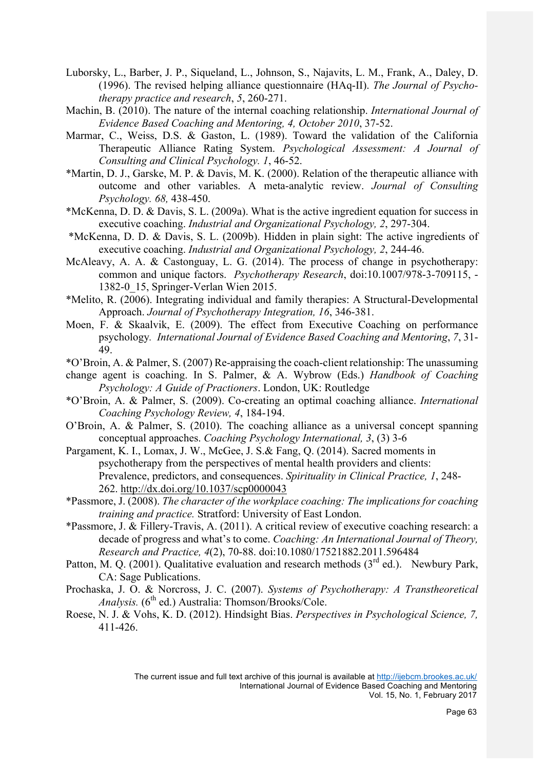- Luborsky, L., Barber, J. P., Siqueland, L., Johnson, S., Najavits, L. M., Frank, A., Daley, D. (1996). The revised helping alliance questionnaire (HAq-II). *The Journal of Psychotherapy practice and research*, *5*, 260-271.
- Machin, B. (2010). The nature of the internal coaching relationship. *International Journal of Evidence Based Coaching and Mentoring, 4, October 2010*, 37-52.
- Marmar, C., Weiss, D.S. & Gaston, L. (1989). Toward the validation of the California Therapeutic Alliance Rating System. *Psychological Assessment: A Journal of Consulting and Clinical Psychology. 1*, 46-52.
- \*Martin, D. J., Garske, M. P. & Davis, M. K. (2000). Relation of the therapeutic alliance with outcome and other variables. A meta-analytic review. *Journal of Consulting Psychology. 68,* 438-450.
- \*McKenna, D. D. & Davis, S. L. (2009a). What is the active ingredient equation for success in executive coaching. *Industrial and Organizational Psychology, 2*, 297-304.
- \*McKenna, D. D. & Davis, S. L. (2009b). Hidden in plain sight: The active ingredients of executive coaching. *Industrial and Organizational Psychology, 2*, 244-46.
- McAleavy, A. A. & Castonguay, L. G. (2014). The process of change in psychotherapy: common and unique factors. *Psychotherapy Research*, doi:10.1007/978-3-709115, - 1382-0\_15, Springer-Verlan Wien 2015.
- \*Melito, R. (2006). Integrating individual and family therapies: A Structural-Developmental Approach. *Journal of Psychotherapy Integration, 16*, 346-381.
- Moen, F. & Skaalvik, E. (2009). The effect from Executive Coaching on performance psychology*. International Journal of Evidence Based Coaching and Mentoring*, *7*, 31- 49.
- \*O'Broin, A. & Palmer, S. (2007) Re-appraising the coach-client relationship: The unassuming
- change agent is coaching. In S. Palmer, & A. Wybrow (Eds.) *Handbook of Coaching Psychology: A Guide of Practioners*. London, UK: Routledge
- \*O'Broin, A. & Palmer, S. (2009). Co-creating an optimal coaching alliance. *International Coaching Psychology Review, 4*, 184-194.
- O'Broin, A. & Palmer, S. (2010). The coaching alliance as a universal concept spanning conceptual approaches. *Coaching Psychology International, 3*, (3) 3-6
- Pargament, K. I., Lomax, J. W., McGee, J. S.& Fang, Q. (2014). Sacred moments in psychotherapy from the perspectives of mental health providers and clients: Prevalence, predictors, and consequences. *Spirituality in Clinical Practice, 1*, 248- 262. http://dx.doi.org/10.1037/scp0000043
- \*Passmore, J. (2008). *The character of the workplace coaching: The implications for coaching training and practice.* Stratford: University of East London.
- \*Passmore, J. & Fillery-Travis, A. (2011). A critical review of executive coaching research: a decade of progress and what's to come. *Coaching: An International Journal of Theory, Research and Practice, 4*(2), 70-88. doi:10.1080/17521882.2011.596484
- Patton, M. Q. (2001). Qualitative evaluation and research methods  $(3<sup>rd</sup>$  ed.). Newbury Park, CA: Sage Publications.
- Prochaska, J. O. & Norcross, J. C. (2007). *Systems of Psychotherapy: A Transtheoretical Analysis.* (6<sup>th</sup> ed.) Australia: Thomson/Brooks/Cole.
- Roese, N. J. & Vohs, K. D. (2012). Hindsight Bias. *Perspectives in Psychological Science, 7,* 411-426.